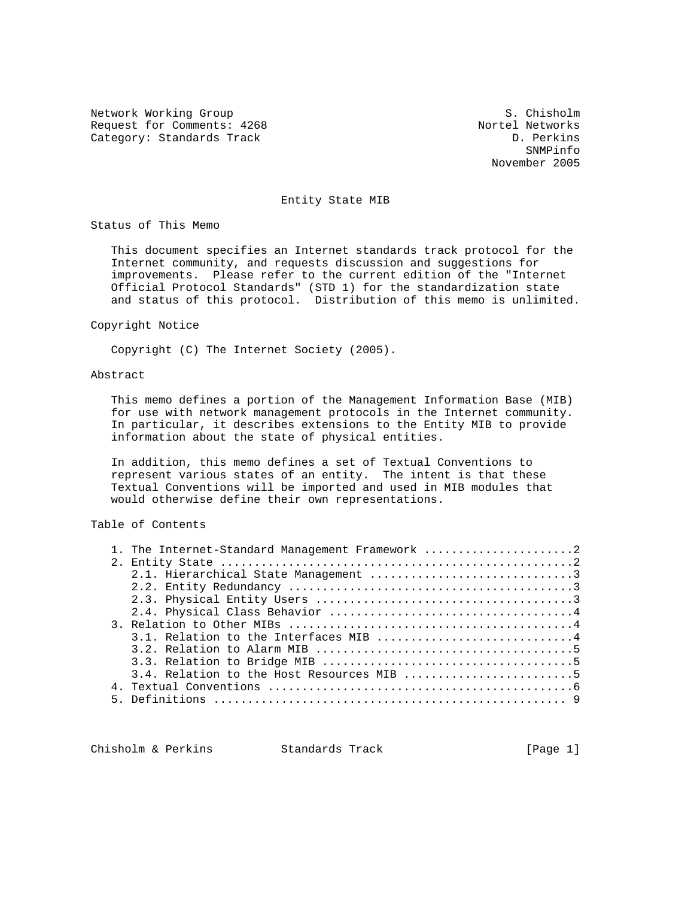Network Working Group S. Chisholm Request for Comments: 4268 Nortel Networks<br>
Category: Standards Track Category: Standards Track Category: Standards Track

SNMPinfo November 2005

# Entity State MIB

Status of This Memo

 This document specifies an Internet standards track protocol for the Internet community, and requests discussion and suggestions for improvements. Please refer to the current edition of the "Internet Official Protocol Standards" (STD 1) for the standardization state and status of this protocol. Distribution of this memo is unlimited.

#### Copyright Notice

Copyright (C) The Internet Society (2005).

## Abstract

 This memo defines a portion of the Management Information Base (MIB) for use with network management protocols in the Internet community. In particular, it describes extensions to the Entity MIB to provide information about the state of physical entities.

 In addition, this memo defines a set of Textual Conventions to represent various states of an entity. The intent is that these Textual Conventions will be imported and used in MIB modules that would otherwise define their own representations.

Table of Contents

|  | 1. The Internet-Standard Management Framework 2 |
|--|-------------------------------------------------|
|  |                                                 |
|  |                                                 |
|  |                                                 |
|  |                                                 |
|  |                                                 |
|  |                                                 |
|  | 3.1. Relation to the Interfaces MIB 4           |
|  |                                                 |
|  |                                                 |
|  | $3.4.$ Relation to the Host Resources MIB 5     |
|  |                                                 |
|  |                                                 |
|  |                                                 |

Chisholm & Perkins Standards Track [Page 1]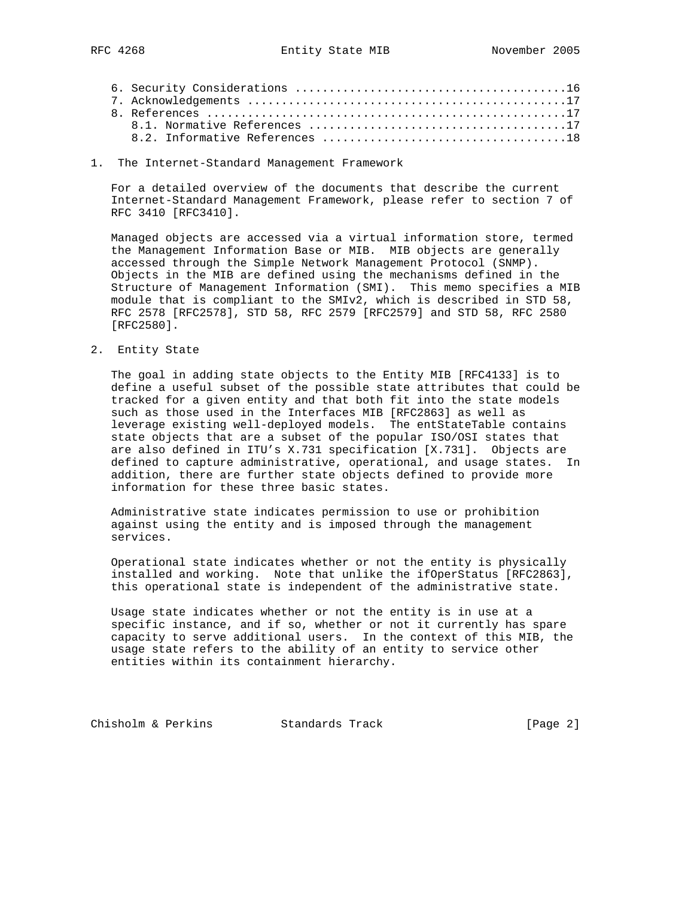1. The Internet-Standard Management Framework

 For a detailed overview of the documents that describe the current Internet-Standard Management Framework, please refer to section 7 of RFC 3410 [RFC3410].

 Managed objects are accessed via a virtual information store, termed the Management Information Base or MIB. MIB objects are generally accessed through the Simple Network Management Protocol (SNMP). Objects in the MIB are defined using the mechanisms defined in the Structure of Management Information (SMI). This memo specifies a MIB module that is compliant to the SMIv2, which is described in STD 58, RFC 2578 [RFC2578], STD 58, RFC 2579 [RFC2579] and STD 58, RFC 2580 [RFC2580].

2. Entity State

 The goal in adding state objects to the Entity MIB [RFC4133] is to define a useful subset of the possible state attributes that could be tracked for a given entity and that both fit into the state models such as those used in the Interfaces MIB [RFC2863] as well as leverage existing well-deployed models. The entStateTable contains state objects that are a subset of the popular ISO/OSI states that are also defined in ITU's X.731 specification [X.731]. Objects are defined to capture administrative, operational, and usage states. In addition, there are further state objects defined to provide more information for these three basic states.

 Administrative state indicates permission to use or prohibition against using the entity and is imposed through the management services.

 Operational state indicates whether or not the entity is physically installed and working. Note that unlike the ifOperStatus [RFC2863], this operational state is independent of the administrative state.

 Usage state indicates whether or not the entity is in use at a specific instance, and if so, whether or not it currently has spare capacity to serve additional users. In the context of this MIB, the usage state refers to the ability of an entity to service other entities within its containment hierarchy.

Chisholm & Perkins Standards Track [Page 2]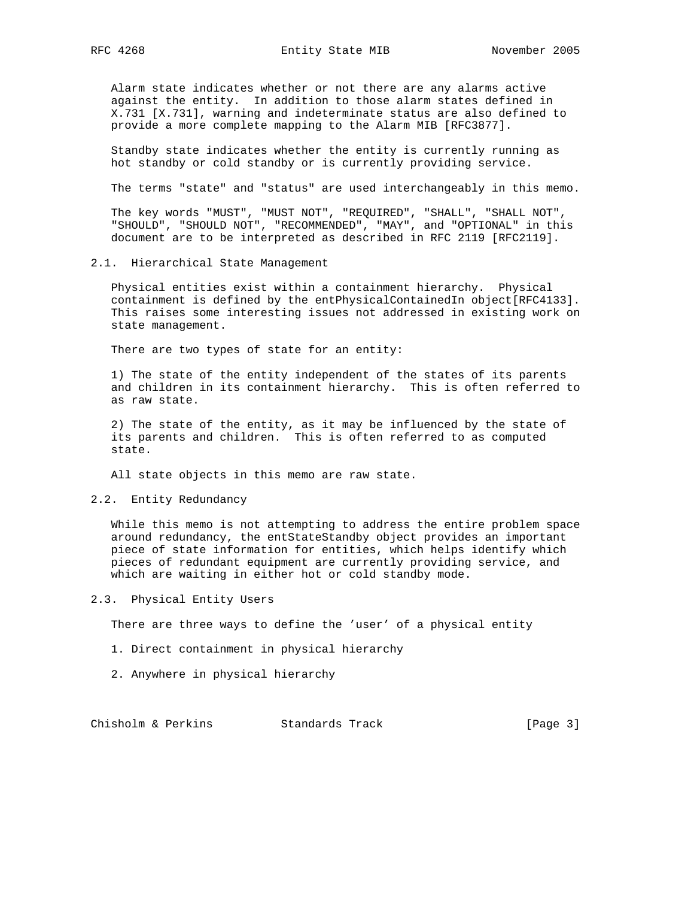Alarm state indicates whether or not there are any alarms active against the entity. In addition to those alarm states defined in X.731 [X.731], warning and indeterminate status are also defined to provide a more complete mapping to the Alarm MIB [RFC3877].

 Standby state indicates whether the entity is currently running as hot standby or cold standby or is currently providing service.

The terms "state" and "status" are used interchangeably in this memo.

 The key words "MUST", "MUST NOT", "REQUIRED", "SHALL", "SHALL NOT", "SHOULD", "SHOULD NOT", "RECOMMENDED", "MAY", and "OPTIONAL" in this document are to be interpreted as described in RFC 2119 [RFC2119].

#### 2.1. Hierarchical State Management

 Physical entities exist within a containment hierarchy. Physical containment is defined by the entPhysicalContainedIn object[RFC4133]. This raises some interesting issues not addressed in existing work on state management.

There are two types of state for an entity:

 1) The state of the entity independent of the states of its parents and children in its containment hierarchy. This is often referred to as raw state.

 2) The state of the entity, as it may be influenced by the state of its parents and children. This is often referred to as computed state.

All state objects in this memo are raw state.

2.2. Entity Redundancy

 While this memo is not attempting to address the entire problem space around redundancy, the entStateStandby object provides an important piece of state information for entities, which helps identify which pieces of redundant equipment are currently providing service, and which are waiting in either hot or cold standby mode.

2.3. Physical Entity Users

There are three ways to define the 'user' of a physical entity

- 1. Direct containment in physical hierarchy
- 2. Anywhere in physical hierarchy

Chisholm & Perkins Standards Track [Page 3]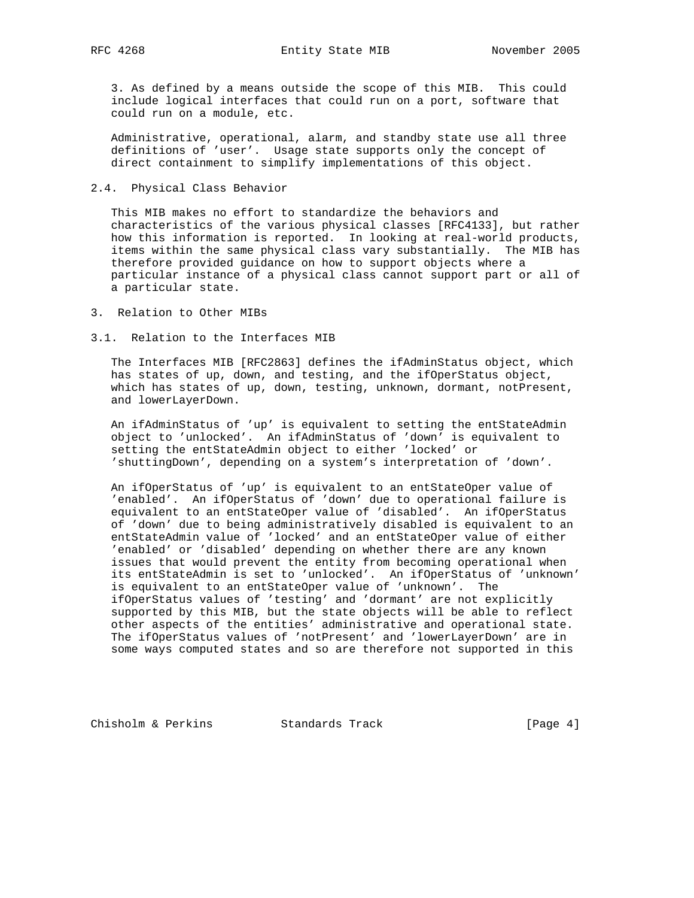RFC 4268 **Entity State MIB** November 2005

 3. As defined by a means outside the scope of this MIB. This could include logical interfaces that could run on a port, software that could run on a module, etc.

 Administrative, operational, alarm, and standby state use all three definitions of 'user'. Usage state supports only the concept of direct containment to simplify implementations of this object.

## 2.4. Physical Class Behavior

 This MIB makes no effort to standardize the behaviors and characteristics of the various physical classes [RFC4133], but rather how this information is reported. In looking at real-world products, items within the same physical class vary substantially. The MIB has therefore provided guidance on how to support objects where a particular instance of a physical class cannot support part or all of a particular state.

3. Relation to Other MIBs

3.1. Relation to the Interfaces MIB

 The Interfaces MIB [RFC2863] defines the ifAdminStatus object, which has states of up, down, and testing, and the ifOperStatus object, which has states of up, down, testing, unknown, dormant, notPresent, and lowerLayerDown.

 An ifAdminStatus of 'up' is equivalent to setting the entStateAdmin object to 'unlocked'. An ifAdminStatus of 'down' is equivalent to setting the entStateAdmin object to either 'locked' or 'shuttingDown', depending on a system's interpretation of 'down'.

 An ifOperStatus of 'up' is equivalent to an entStateOper value of 'enabled'. An ifOperStatus of 'down' due to operational failure is equivalent to an entStateOper value of 'disabled'. An ifOperStatus of 'down' due to being administratively disabled is equivalent to an entStateAdmin value of 'locked' and an entStateOper value of either 'enabled' or 'disabled' depending on whether there are any known issues that would prevent the entity from becoming operational when its entStateAdmin is set to 'unlocked'. An ifOperStatus of 'unknown' is equivalent to an entStateOper value of 'unknown'. The ifOperStatus values of 'testing' and 'dormant' are not explicitly supported by this MIB, but the state objects will be able to reflect other aspects of the entities' administrative and operational state. The ifOperStatus values of 'notPresent' and 'lowerLayerDown' are in some ways computed states and so are therefore not supported in this

Chisholm & Perkins Standards Track [Page 4]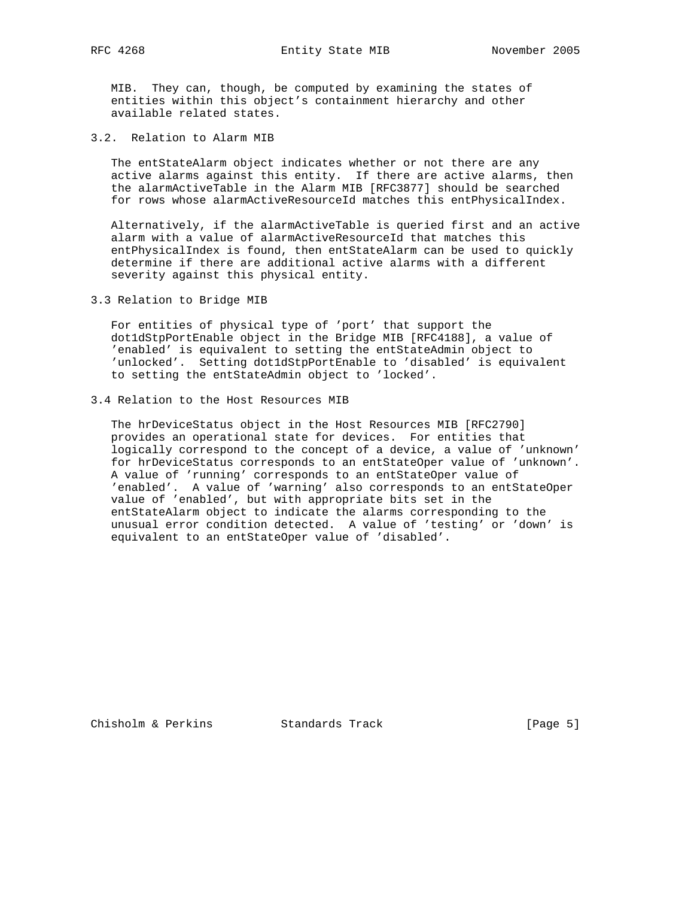MIB. They can, though, be computed by examining the states of entities within this object's containment hierarchy and other available related states.

3.2. Relation to Alarm MIB

 The entStateAlarm object indicates whether or not there are any active alarms against this entity. If there are active alarms, then the alarmActiveTable in the Alarm MIB [RFC3877] should be searched for rows whose alarmActiveResourceId matches this entPhysicalIndex.

 Alternatively, if the alarmActiveTable is queried first and an active alarm with a value of alarmActiveResourceId that matches this entPhysicalIndex is found, then entStateAlarm can be used to quickly determine if there are additional active alarms with a different severity against this physical entity.

3.3 Relation to Bridge MIB

 For entities of physical type of 'port' that support the dot1dStpPortEnable object in the Bridge MIB [RFC4188], a value of 'enabled' is equivalent to setting the entStateAdmin object to 'unlocked'. Setting dot1dStpPortEnable to 'disabled' is equivalent to setting the entStateAdmin object to 'locked'.

3.4 Relation to the Host Resources MIB

 The hrDeviceStatus object in the Host Resources MIB [RFC2790] provides an operational state for devices. For entities that logically correspond to the concept of a device, a value of 'unknown' for hrDeviceStatus corresponds to an entStateOper value of 'unknown'. A value of 'running' corresponds to an entStateOper value of 'enabled'. A value of 'warning' also corresponds to an entStateOper value of 'enabled', but with appropriate bits set in the entStateAlarm object to indicate the alarms corresponding to the unusual error condition detected. A value of 'testing' or 'down' is equivalent to an entStateOper value of 'disabled'.

Chisholm & Perkins Standards Track [Page 5]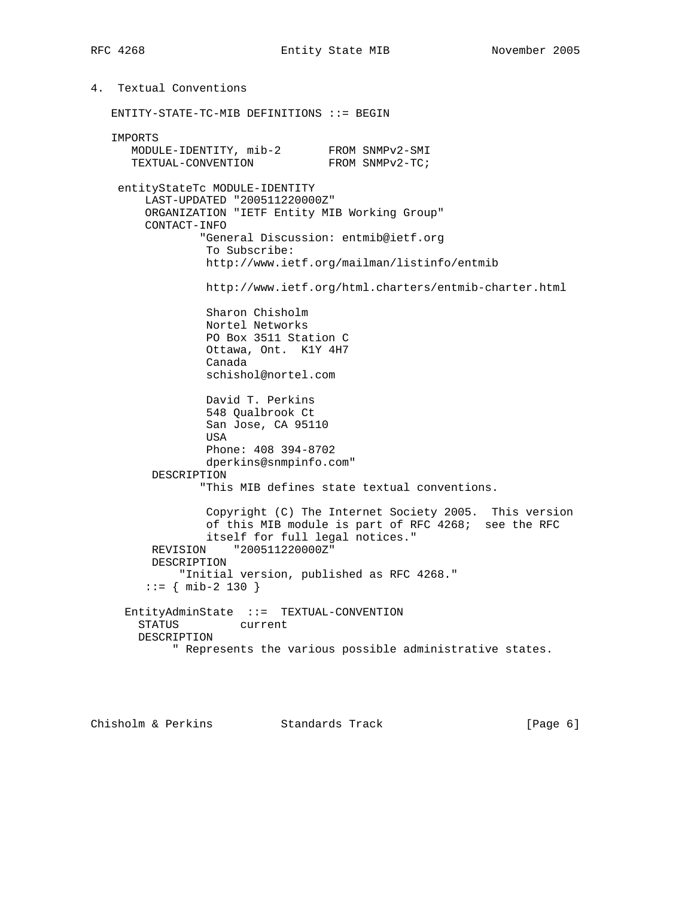4. Textual Conventions ENTITY-STATE-TC-MIB DEFINITIONS ::= BEGIN IMPORTS MODULE-IDENTITY, mib-2 FROM SNMPv2-SMI TEXTUAL-CONVENTION FROM SNMPv2-TC; entityStateTc MODULE-IDENTITY LAST-UPDATED "200511220000Z" ORGANIZATION "IETF Entity MIB Working Group" CONTACT-INFO "General Discussion: entmib@ietf.org To Subscribe: http://www.ietf.org/mailman/listinfo/entmib http://www.ietf.org/html.charters/entmib-charter.html Sharon Chisholm Nortel Networks PO Box 3511 Station C Ottawa, Ont. K1Y 4H7 Canada schishol@nortel.com David T. Perkins 548 Qualbrook Ct San Jose, CA 95110 USA Phone: 408 394-8702 dperkins@snmpinfo.com" DESCRIPTION "This MIB defines state textual conventions. Copyright (C) The Internet Society 2005. This version of this MIB module is part of RFC 4268; see the RFC itself for full legal notices." REVISION "200511220000Z" DESCRIPTION "Initial version, published as RFC 4268."  $::=$  { mib-2 130 } EntityAdminState ::= TEXTUAL-CONVENTION STATUS current DESCRIPTION " Represents the various possible administrative states.

Chisholm & Perkins Standards Track [Page 6]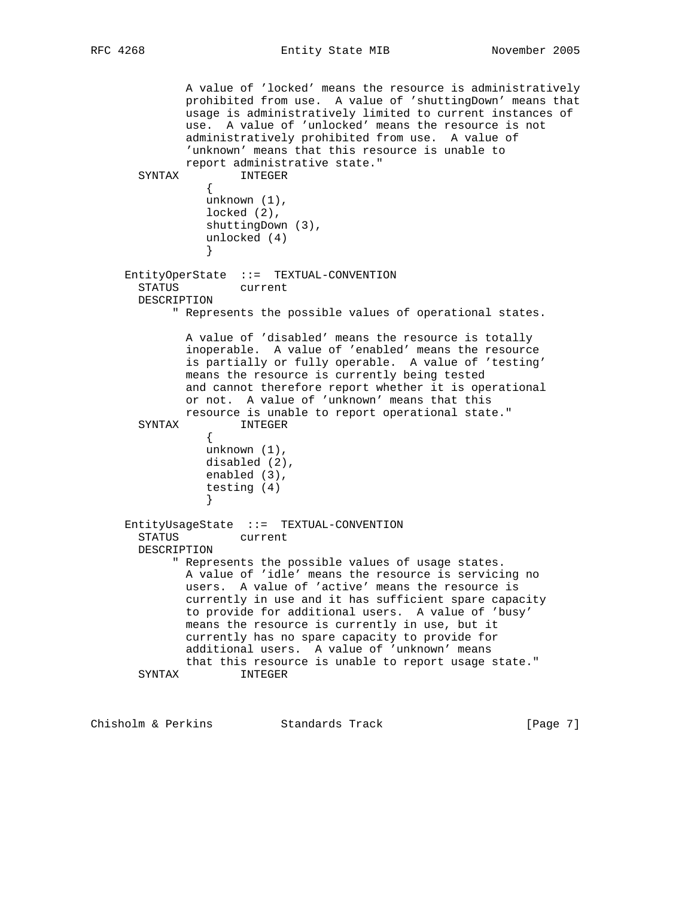RFC 4268 Entity State MIB November 2005

 A value of 'locked' means the resource is administratively prohibited from use. A value of 'shuttingDown' means that usage is administratively limited to current instances of use. A value of 'unlocked' means the resource is not administratively prohibited from use. A value of 'unknown' means that this resource is unable to report administrative state." SYNTAX INTEGER { unknown (1), locked (2), shuttingDown (3), unlocked (4) } EntityOperState ::= TEXTUAL-CONVENTION STATUS current DESCRIPTION " Represents the possible values of operational states. A value of 'disabled' means the resource is totally inoperable. A value of 'enabled' means the resource is partially or fully operable. A value of 'testing' means the resource is currently being tested and cannot therefore report whether it is operational or not. A value of 'unknown' means that this resource is unable to report operational state." SYNTAX INTEGER { unknown (1), disabled (2), enabled (3), testing (4) } EntityUsageState ::= TEXTUAL-CONVENTION STATUS current DESCRIPTION " Represents the possible values of usage states. A value of 'idle' means the resource is servicing no users. A value of 'active' means the resource is currently in use and it has sufficient spare capacity to provide for additional users. A value of 'busy' means the resource is currently in use, but it currently has no spare capacity to provide for additional users. A value of 'unknown' means that this resource is unable to report usage state." SYNTAX INTEGER

Chisholm & Perkins Standards Track [Page 7]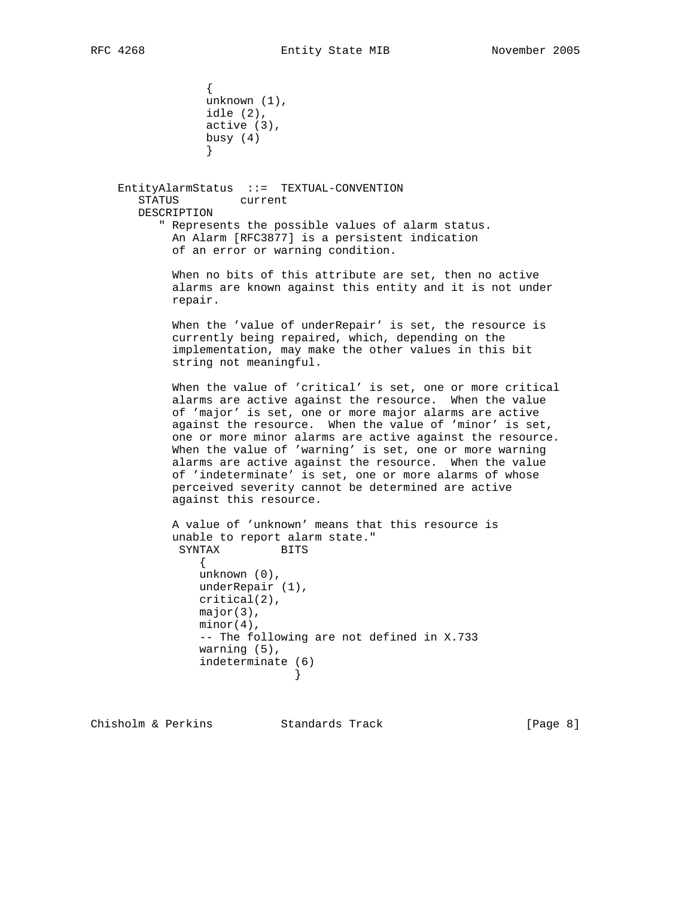{ unknown (1), idle (2), active (3), busy (4) }

> EntityAlarmStatus ::= TEXTUAL-CONVENTION STATUS current DESCRIPTION " Represents the possible values of alarm status. An Alarm [RFC3877] is a persistent indication of an error or warning condition.

> > When no bits of this attribute are set, then no active alarms are known against this entity and it is not under repair.

 When the 'value of underRepair' is set, the resource is currently being repaired, which, depending on the implementation, may make the other values in this bit string not meaningful.

 When the value of 'critical' is set, one or more critical alarms are active against the resource. When the value of 'major' is set, one or more major alarms are active against the resource. When the value of 'minor' is set, one or more minor alarms are active against the resource. When the value of 'warning' is set, one or more warning alarms are active against the resource. When the value of 'indeterminate' is set, one or more alarms of whose perceived severity cannot be determined are active against this resource.

```
 A value of 'unknown' means that this resource is
           unable to report alarm state."
           SYNTAX BITS
 {
              unknown (0),
              underRepair (1),
              critical(2),
              major(3),
              minor(4),
              -- The following are not defined in X.733
              warning (5),
              indeterminate (6)
 }
```
Chisholm & Perkins Standards Track [Page 8]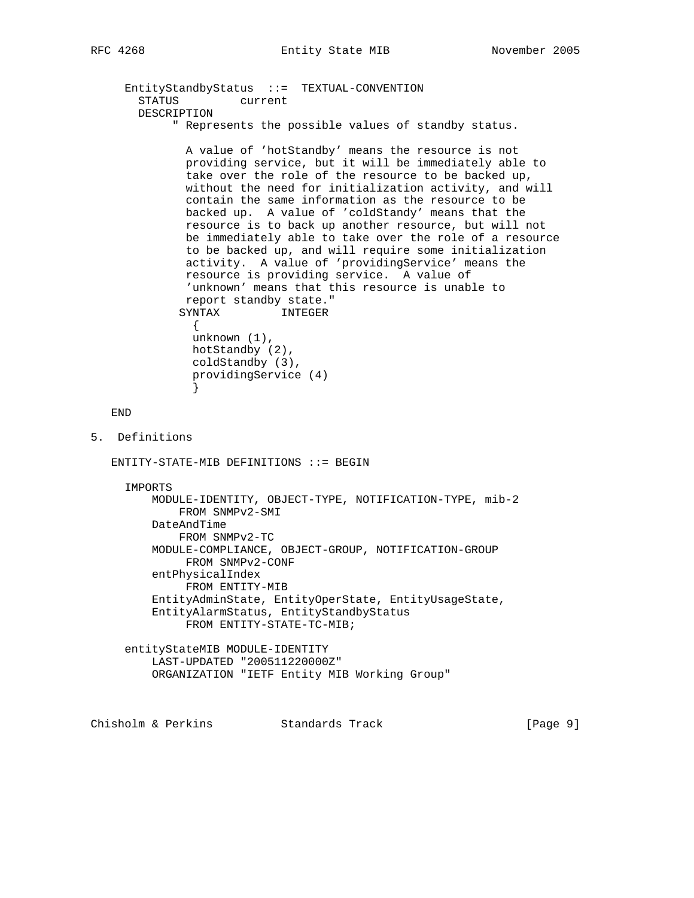EntityStandbyStatus ::= TEXTUAL-CONVENTION STATUS current DESCRIPTION " Represents the possible values of standby status.

 A value of 'hotStandby' means the resource is not providing service, but it will be immediately able to take over the role of the resource to be backed up, without the need for initialization activity, and will contain the same information as the resource to be backed up. A value of 'coldStandy' means that the resource is to back up another resource, but will not be immediately able to take over the role of a resource to be backed up, and will require some initialization activity. A value of 'providingService' means the resource is providing service. A value of 'unknown' means that this resource is unable to report standby state." SYNTAX INTEGER { unknown (1), hotStandby (2), coldStandby (3),

```
 END
```
5. Definitions

}

 $ENTITY-STATE-MIB$  DEFINITIONS ::= BEGIN

providingService (4)

```
 IMPORTS
```
 MODULE-IDENTITY, OBJECT-TYPE, NOTIFICATION-TYPE, mib-2 FROM SNMPv2-SMI DateAndTime FROM SNMPv2-TC MODULE-COMPLIANCE, OBJECT-GROUP, NOTIFICATION-GROUP FROM SNMPv2-CONF entPhysicalIndex FROM ENTITY-MIB EntityAdminState, EntityOperState, EntityUsageState, EntityAlarmStatus, EntityStandbyStatus FROM ENTITY-STATE-TC-MIB; entityStateMIB MODULE-IDENTITY

 LAST-UPDATED "200511220000Z" ORGANIZATION "IETF Entity MIB Working Group"

Chisholm & Perkins Standards Track [Page 9]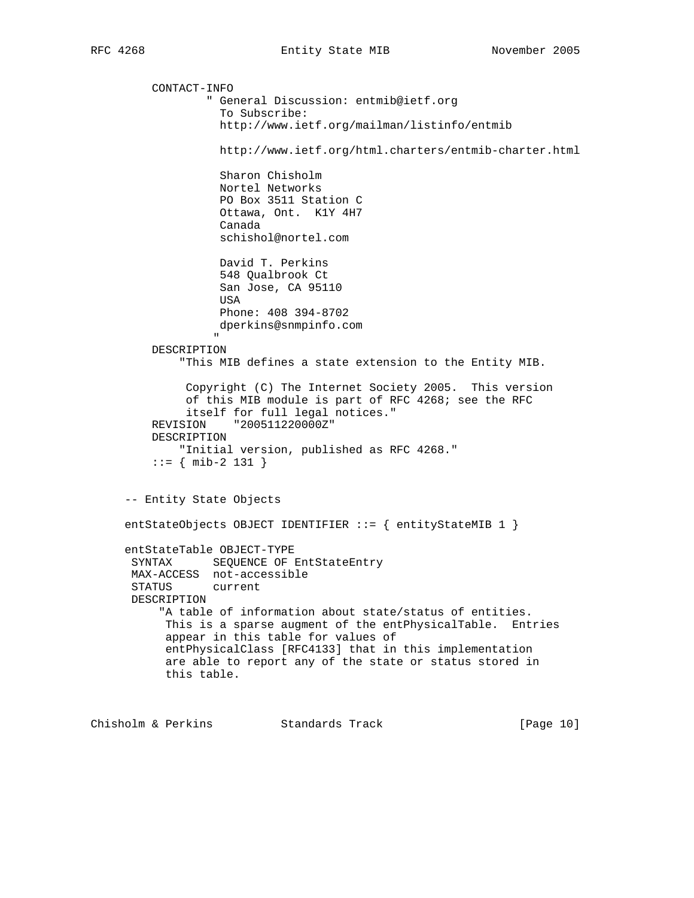CONTACT-INFO " General Discussion: entmib@ietf.org To Subscribe: http://www.ietf.org/mailman/listinfo/entmib http://www.ietf.org/html.charters/entmib-charter.html Sharon Chisholm Nortel Networks PO Box 3511 Station C Ottawa, Ont. K1Y 4H7 Canada schishol@nortel.com David T. Perkins 548 Qualbrook Ct San Jose, CA 95110 USA Phone: 408 394-8702 dperkins@snmpinfo.com " "The contract of the contract of the contract of the contract of the contract of the contract of the contract of the contract of the contract of the contract of the contract of the contract of the contract of the contrac DESCRIPTION "This MIB defines a state extension to the Entity MIB. Copyright (C) The Internet Society 2005. This version of this MIB module is part of RFC 4268; see the RFC itself for full legal notices." REVISION "200511220000Z" DESCRIPTION "Initial version, published as RFC 4268."  $::=$  { mib-2 131 } -- Entity State Objects entStateObjects OBJECT IDENTIFIER ::= { entityStateMIB 1 } entStateTable OBJECT-TYPE SYNTAX SEQUENCE OF EntStateEntry MAX-ACCESS not-accessible STATUS current DESCRIPTION "A table of information about state/status of entities. This is a sparse augment of the entPhysicalTable. Entries appear in this table for values of entPhysicalClass [RFC4133] that in this implementation are able to report any of the state or status stored in this table.

Chisholm & Perkins Standards Track [Page 10]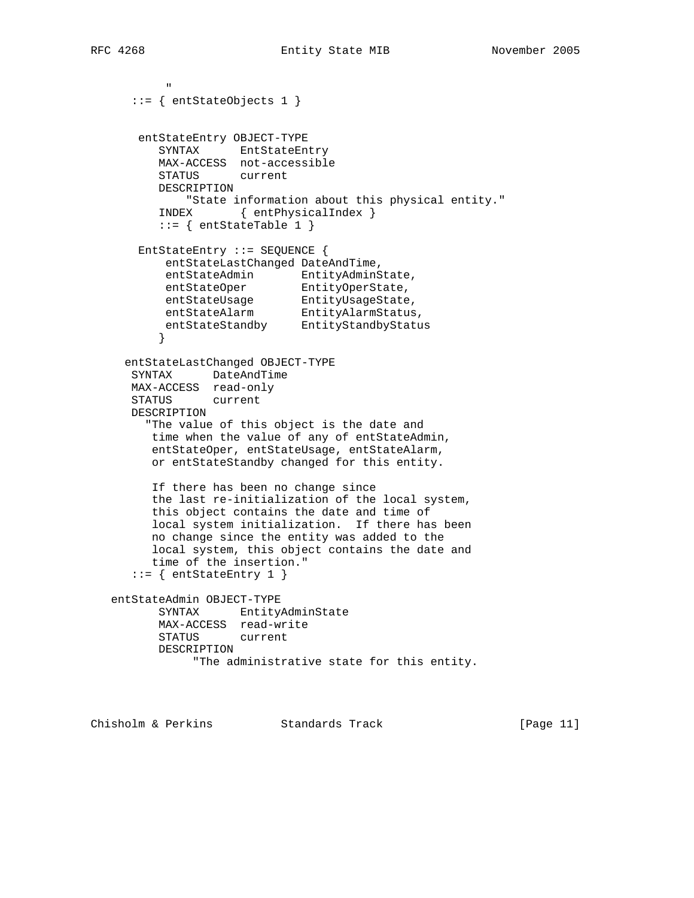" "The Contract of the Contract of the Contract of the Contract of the Contract of the Contract of the Contract of the Contract of the Contract of the Contract of the Contract of the Contract of the Contract of the Contrac

```
 ::= { entStateObjects 1 }
       entStateEntry OBJECT-TYPE
         SYNTAX EntStateEntry
         MAX-ACCESS not-accessible
         STATUS current
         DESCRIPTION
             "State information about this physical entity."
          INDEX { entPhysicalIndex }
         ::= { entStateTable 1 }
       EntStateEntry ::= SEQUENCE {
          entStateLastChanged DateAndTime,
entStateAdmin EntityAdminState,
entStateOper EntityOperState,
entStateUsage EntityUsageState,
entStateAlarm EntityAlarmStatus,
 entStateStandby EntityStandbyStatus
 }
     entStateLastChanged OBJECT-TYPE
      SYNTAX DateAndTime
      MAX-ACCESS read-only
      STATUS current
      DESCRIPTION
        "The value of this object is the date and
        time when the value of any of entStateAdmin,
         entStateOper, entStateUsage, entStateAlarm,
         or entStateStandby changed for this entity.
         If there has been no change since
         the last re-initialization of the local system,
         this object contains the date and time of
         local system initialization. If there has been
         no change since the entity was added to the
         local system, this object contains the date and
         time of the insertion."
     ::= { entStateEntry 1 }
   entStateAdmin OBJECT-TYPE
         SYNTAX EntityAdminState
          MAX-ACCESS read-write
          STATUS current
          DESCRIPTION
              "The administrative state for this entity.
```
Chisholm & Perkins Standards Track [Page 11]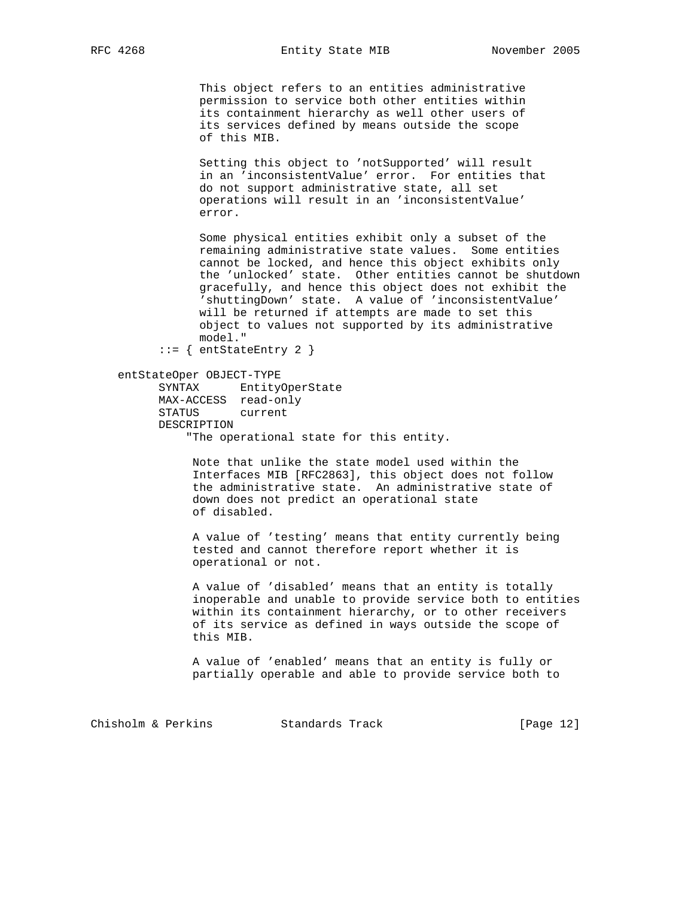This object refers to an entities administrative permission to service both other entities within its containment hierarchy as well other users of its services defined by means outside the scope of this MIB.

 Setting this object to 'notSupported' will result in an 'inconsistentValue' error. For entities that do not support administrative state, all set operations will result in an 'inconsistentValue' error.

 Some physical entities exhibit only a subset of the remaining administrative state values. Some entities cannot be locked, and hence this object exhibits only the 'unlocked' state. Other entities cannot be shutdown gracefully, and hence this object does not exhibit the 'shuttingDown' state. A value of 'inconsistentValue' will be returned if attempts are made to set this object to values not supported by its administrative model."

::= { entStateEntry 2 }

 entStateOper OBJECT-TYPE SYNTAX EntityOperState MAX-ACCESS read-only STATUS current DESCRIPTION "The operational state for this entity.

> Note that unlike the state model used within the Interfaces MIB [RFC2863], this object does not follow the administrative state. An administrative state of down does not predict an operational state of disabled.

 A value of 'testing' means that entity currently being tested and cannot therefore report whether it is operational or not.

 A value of 'disabled' means that an entity is totally inoperable and unable to provide service both to entities within its containment hierarchy, or to other receivers of its service as defined in ways outside the scope of this MIB.

 A value of 'enabled' means that an entity is fully or partially operable and able to provide service both to

Chisholm & Perkins Standards Track [Page 12]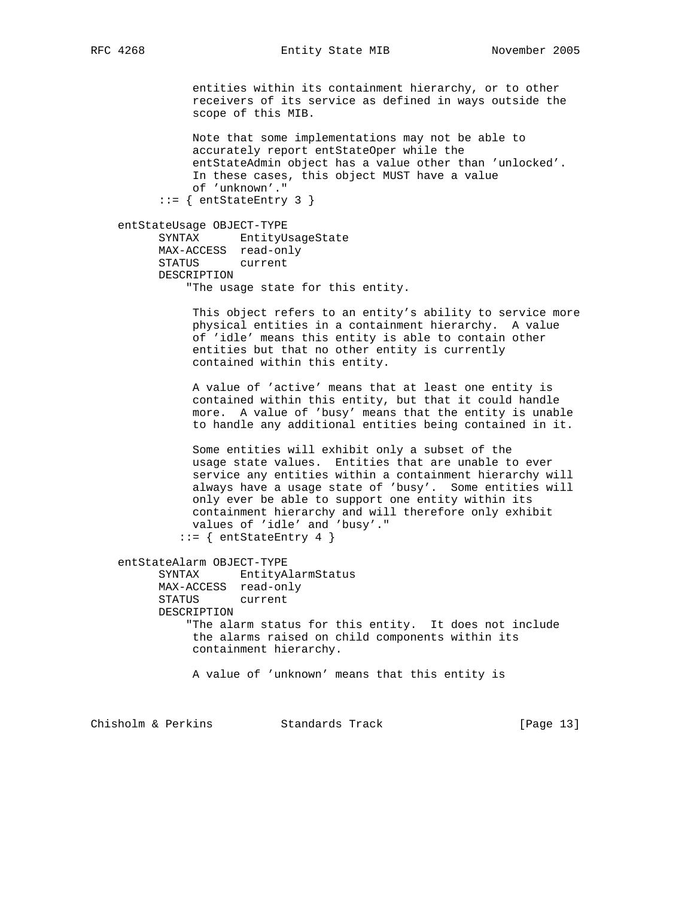entities within its containment hierarchy, or to other receivers of its service as defined in ways outside the scope of this MIB.

 Note that some implementations may not be able to accurately report entStateOper while the entStateAdmin object has a value other than 'unlocked'. In these cases, this object MUST have a value of 'unknown'." ::= { entStateEntry 3 }

 entStateUsage OBJECT-TYPE SYNTAX EntityUsageState MAX-ACCESS read-only STATUS current DESCRIPTION "The usage state for this entity.

> This object refers to an entity's ability to service more physical entities in a containment hierarchy. A value of 'idle' means this entity is able to contain other entities but that no other entity is currently contained within this entity.

 A value of 'active' means that at least one entity is contained within this entity, but that it could handle more. A value of 'busy' means that the entity is unable to handle any additional entities being contained in it.

 Some entities will exhibit only a subset of the usage state values. Entities that are unable to ever service any entities within a containment hierarchy will always have a usage state of 'busy'. Some entities will only ever be able to support one entity within its containment hierarchy and will therefore only exhibit values of 'idle' and 'busy'."

 $::=$  { entStateEntry 4 }

 entStateAlarm OBJECT-TYPE SYNTAX EntityAlarmStatus MAX-ACCESS read-only STATUS current DESCRIPTION "The alarm status for this entity. It does not include the alarms raised on child components within its containment hierarchy.

A value of 'unknown' means that this entity is

Chisholm & Perkins Standards Track [Page 13]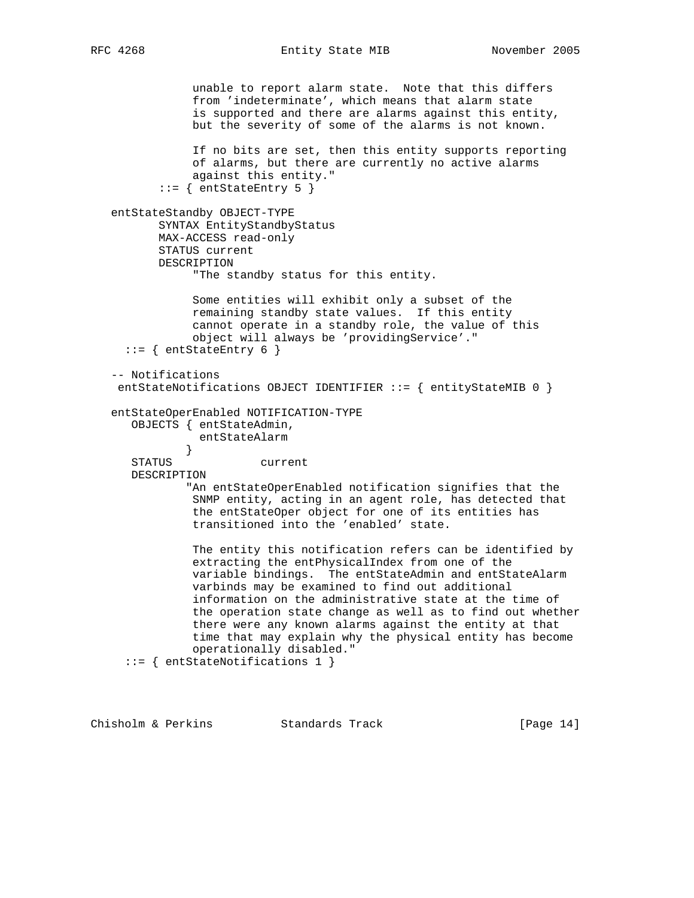RFC 4268 Entity State MIB November 2005

 unable to report alarm state. Note that this differs from 'indeterminate', which means that alarm state is supported and there are alarms against this entity, but the severity of some of the alarms is not known. If no bits are set, then this entity supports reporting of alarms, but there are currently no active alarms against this entity."  $::=$  { entStateEntry 5 } entStateStandby OBJECT-TYPE SYNTAX EntityStandbyStatus MAX-ACCESS read-only STATUS current DESCRIPTION "The standby status for this entity. Some entities will exhibit only a subset of the remaining standby state values. If this entity cannot operate in a standby role, the value of this object will always be 'providingService'."  $::=$  { entStateEntry 6 } -- Notifications entStateNotifications OBJECT IDENTIFIER ::= { entityStateMIB 0 } entStateOperEnabled NOTIFICATION-TYPE OBJECTS { entStateAdmin, entStateAlarm } STATUS current DESCRIPTION "An entStateOperEnabled notification signifies that the SNMP entity, acting in an agent role, has detected that the entStateOper object for one of its entities has transitioned into the 'enabled' state. The entity this notification refers can be identified by extracting the entPhysicalIndex from one of the variable bindings. The entStateAdmin and entStateAlarm varbinds may be examined to find out additional information on the administrative state at the time of the operation state change as well as to find out whether there were any known alarms against the entity at that time that may explain why the physical entity has become operationally disabled." ::= { entStateNotifications 1 }

Chisholm & Perkins Standards Track [Page 14]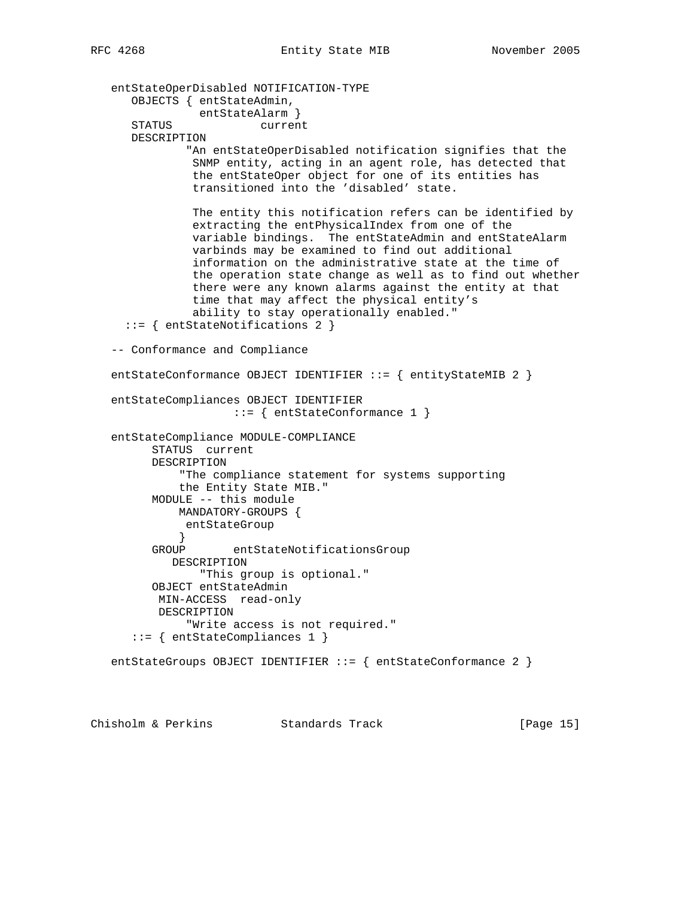```
 entStateOperDisabled NOTIFICATION-TYPE
      OBJECTS { entStateAdmin,
               entStateAlarm }
      STATUS current
      DESCRIPTION
               "An entStateOperDisabled notification signifies that the
               SNMP entity, acting in an agent role, has detected that
               the entStateOper object for one of its entities has
                transitioned into the 'disabled' state.
               The entity this notification refers can be identified by
               extracting the entPhysicalIndex from one of the
               variable bindings. The entStateAdmin and entStateAlarm
               varbinds may be examined to find out additional
                information on the administrative state at the time of
                the operation state change as well as to find out whether
                there were any known alarms against the entity at that
                time that may affect the physical entity's
                ability to stay operationally enabled."
      ::= { entStateNotifications 2 }
   -- Conformance and Compliance
  entStateConformance OBJECT IDENTIFIER ::= { entityStateMIB 2 }
   entStateCompliances OBJECT IDENTIFIER
                     ::= { entStateConformance 1 }
   entStateCompliance MODULE-COMPLIANCE
         STATUS current
         DESCRIPTION
              "The compliance statement for systems supporting
             the Entity State MIB."
         MODULE -- this module
             MANDATORY-GROUPS {
            entStateGroup<br>}
 }
         GROUP entStateNotificationsGroup
            DESCRIPTION
                "This group is optional."
         OBJECT entStateAdmin
          MIN-ACCESS read-only
          DESCRIPTION
              "Write access is not required."
       ::= { entStateCompliances 1 }
   entStateGroups OBJECT IDENTIFIER ::= { entStateConformance 2 }
```
Chisholm & Perkins Standards Track [Page 15]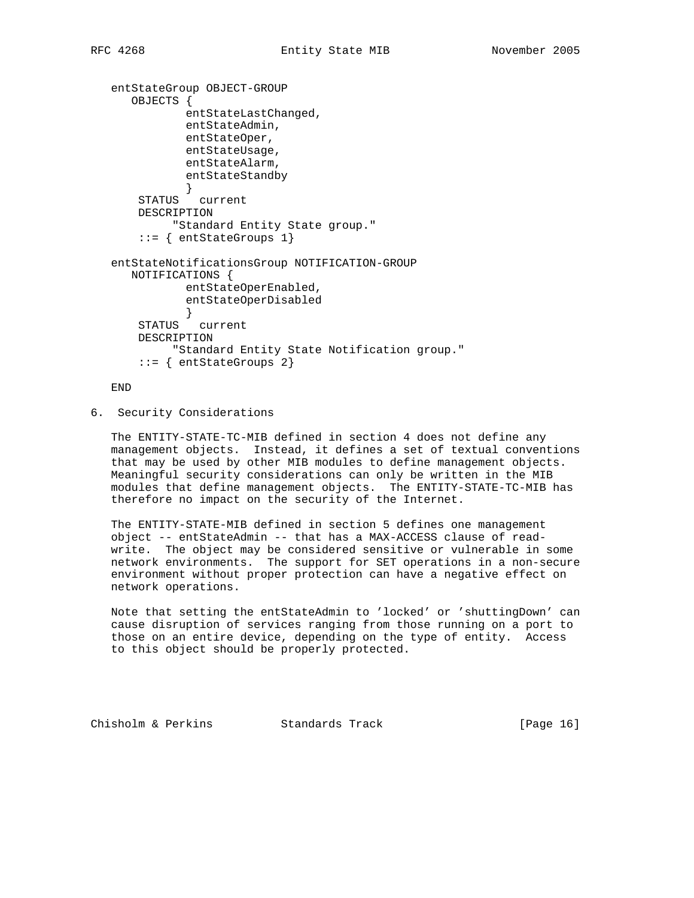```
 entStateGroup OBJECT-GROUP
   OBJECTS {
            entStateLastChanged,
            entStateAdmin,
            entStateOper,
            entStateUsage,
            entStateAlarm,
            entStateStandby
            }
     STATUS current
     DESCRIPTION
          "Standard Entity State group."
     ::= { entStateGroups 1}
 entStateNotificationsGroup NOTIFICATION-GROUP
   NOTIFICATIONS {
            entStateOperEnabled,
            entStateOperDisabled
            }
     STATUS current
     DESCRIPTION
          "Standard Entity State Notification group."
     ::= { entStateGroups 2}
```
END

6. Security Considerations

 The ENTITY-STATE-TC-MIB defined in section 4 does not define any management objects. Instead, it defines a set of textual conventions that may be used by other MIB modules to define management objects. Meaningful security considerations can only be written in the MIB modules that define management objects. The ENTITY-STATE-TC-MIB has therefore no impact on the security of the Internet.

 The ENTITY-STATE-MIB defined in section 5 defines one management object -- entStateAdmin -- that has a MAX-ACCESS clause of read write. The object may be considered sensitive or vulnerable in some network environments. The support for SET operations in a non-secure environment without proper protection can have a negative effect on network operations.

 Note that setting the entStateAdmin to 'locked' or 'shuttingDown' can cause disruption of services ranging from those running on a port to those on an entire device, depending on the type of entity. Access to this object should be properly protected.

Chisholm & Perkins Standards Track [Page 16]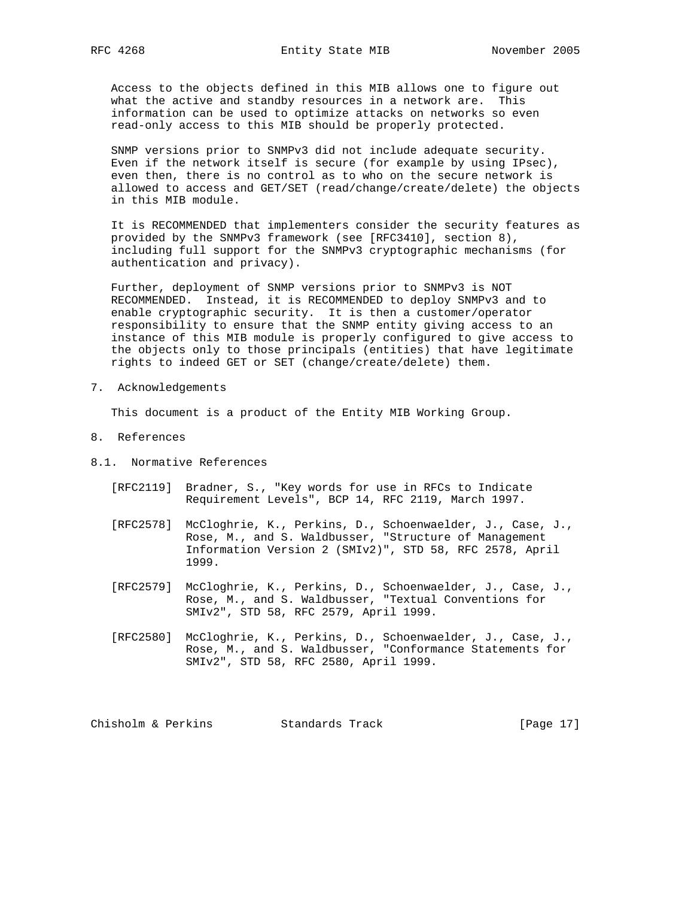Access to the objects defined in this MIB allows one to figure out what the active and standby resources in a network are. This information can be used to optimize attacks on networks so even read-only access to this MIB should be properly protected.

 SNMP versions prior to SNMPv3 did not include adequate security. Even if the network itself is secure (for example by using IPsec), even then, there is no control as to who on the secure network is allowed to access and GET/SET (read/change/create/delete) the objects in this MIB module.

 It is RECOMMENDED that implementers consider the security features as provided by the SNMPv3 framework (see [RFC3410], section 8), including full support for the SNMPv3 cryptographic mechanisms (for authentication and privacy).

 Further, deployment of SNMP versions prior to SNMPv3 is NOT RECOMMENDED. Instead, it is RECOMMENDED to deploy SNMPv3 and to enable cryptographic security. It is then a customer/operator responsibility to ensure that the SNMP entity giving access to an instance of this MIB module is properly configured to give access to the objects only to those principals (entities) that have legitimate rights to indeed GET or SET (change/create/delete) them.

7. Acknowledgements

This document is a product of the Entity MIB Working Group.

- 8. References
- 8.1. Normative References
	- [RFC2119] Bradner, S., "Key words for use in RFCs to Indicate Requirement Levels", BCP 14, RFC 2119, March 1997.
	- [RFC2578] McCloghrie, K., Perkins, D., Schoenwaelder, J., Case, J., Rose, M., and S. Waldbusser, "Structure of Management Information Version 2 (SMIv2)", STD 58, RFC 2578, April 1999.
	- [RFC2579] McCloghrie, K., Perkins, D., Schoenwaelder, J., Case, J., Rose, M., and S. Waldbusser, "Textual Conventions for SMIv2", STD 58, RFC 2579, April 1999.
	- [RFC2580] McCloghrie, K., Perkins, D., Schoenwaelder, J., Case, J., Rose, M., and S. Waldbusser, "Conformance Statements for SMIv2", STD 58, RFC 2580, April 1999.

Chisholm & Perkins Standards Track [Page 17]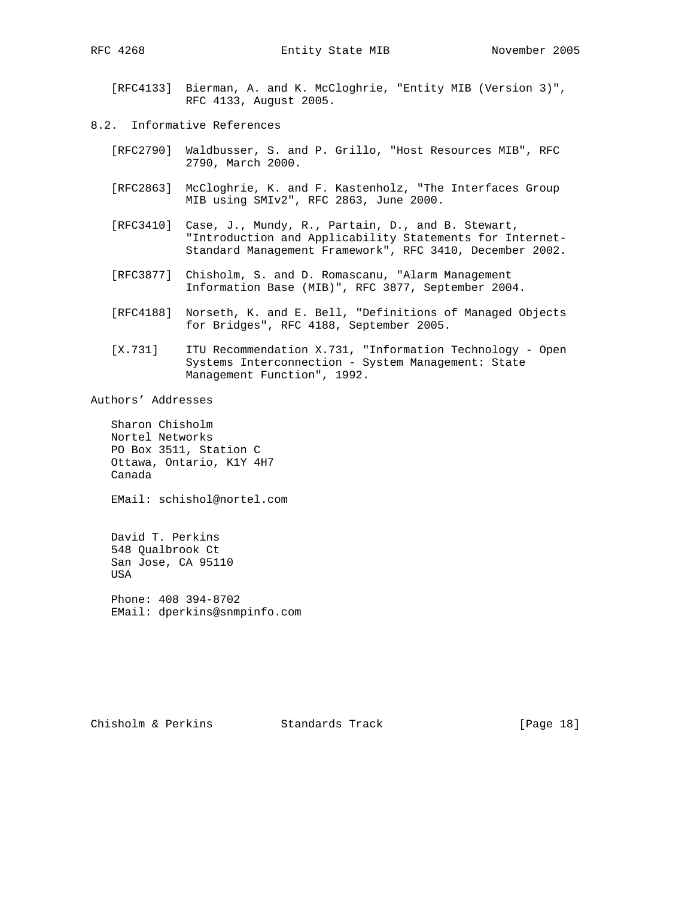[RFC4133] Bierman, A. and K. McCloghrie, "Entity MIB (Version 3)", RFC 4133, August 2005.

- 8.2. Informative References
	- [RFC2790] Waldbusser, S. and P. Grillo, "Host Resources MIB", RFC 2790, March 2000.
	- [RFC2863] McCloghrie, K. and F. Kastenholz, "The Interfaces Group MIB using SMIv2", RFC 2863, June 2000.
	- [RFC3410] Case, J., Mundy, R., Partain, D., and B. Stewart, "Introduction and Applicability Statements for Internet- Standard Management Framework", RFC 3410, December 2002.
	- [RFC3877] Chisholm, S. and D. Romascanu, "Alarm Management Information Base (MIB)", RFC 3877, September 2004.
	- [RFC4188] Norseth, K. and E. Bell, "Definitions of Managed Objects for Bridges", RFC 4188, September 2005.
	- [X.731] ITU Recommendation X.731, "Information Technology Open Systems Interconnection - System Management: State Management Function", 1992.

Authors' Addresses

 Sharon Chisholm Nortel Networks PO Box 3511, Station C Ottawa, Ontario, K1Y 4H7 Canada

EMail: schishol@nortel.com

 David T. Perkins 548 Qualbrook Ct San Jose, CA 95110 USA

 Phone: 408 394-8702 EMail: dperkins@snmpinfo.com

Chisholm & Perkins Standards Track [Page 18]